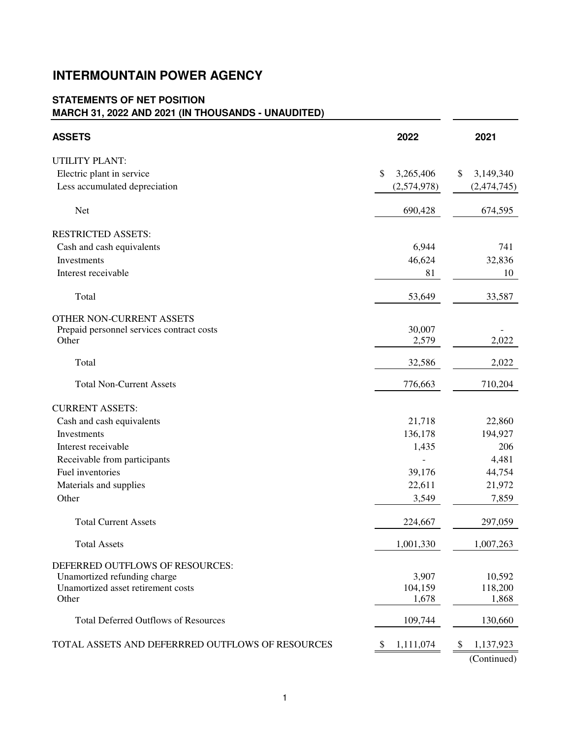## **INTERMOUNTAIN POWER AGENCY**

## **STATEMENTS OF NET POSITION MARCH 31, 2022 AND 2021 (IN THOUSANDS - UNAUDITED)**

| <b>ASSETS</b>                                    | 2022            | 2021            |
|--------------------------------------------------|-----------------|-----------------|
| <b>UTILITY PLANT:</b>                            |                 |                 |
| Electric plant in service                        | \$<br>3,265,406 | 3,149,340<br>\$ |
| Less accumulated depreciation                    | (2,574,978)     | (2,474,745)     |
| Net                                              | 690,428         | 674,595         |
| <b>RESTRICTED ASSETS:</b>                        |                 |                 |
| Cash and cash equivalents                        | 6,944           | 741             |
| Investments                                      | 46,624          | 32,836          |
| Interest receivable                              | 81              | 10              |
| Total                                            | 53,649          | 33,587          |
| OTHER NON-CURRENT ASSETS                         |                 |                 |
| Prepaid personnel services contract costs        | 30,007          |                 |
| Other                                            | 2,579           | 2,022           |
| Total                                            | 32,586          | 2,022           |
| <b>Total Non-Current Assets</b>                  | 776,663         | 710,204         |
| <b>CURRENT ASSETS:</b>                           |                 |                 |
| Cash and cash equivalents                        | 21,718          | 22,860          |
| Investments                                      | 136,178         | 194,927         |
| Interest receivable                              | 1,435           | 206             |
| Receivable from participants                     |                 | 4,481           |
| Fuel inventories                                 | 39,176          | 44,754          |
| Materials and supplies                           | 22,611          | 21,972          |
| Other                                            | 3,549           | 7,859           |
| <b>Total Current Assets</b>                      | 224,667         | 297,059         |
| <b>Total Assets</b>                              | 1,001,330       | 1,007,263       |
| DEFERRED OUTFLOWS OF RESOURCES:                  |                 |                 |
| Unamortized refunding charge                     | 3,907           | 10,592          |
| Unamortized asset retirement costs               | 104,159         | 118,200         |
| Other                                            | 1,678           | 1,868           |
| <b>Total Deferred Outflows of Resources</b>      | 109,744         | 130,660         |
| TOTAL ASSETS AND DEFERRRED OUTFLOWS OF RESOURCES | 1,111,074<br>\$ | 1,137,923<br>\$ |
|                                                  |                 | (Continued)     |